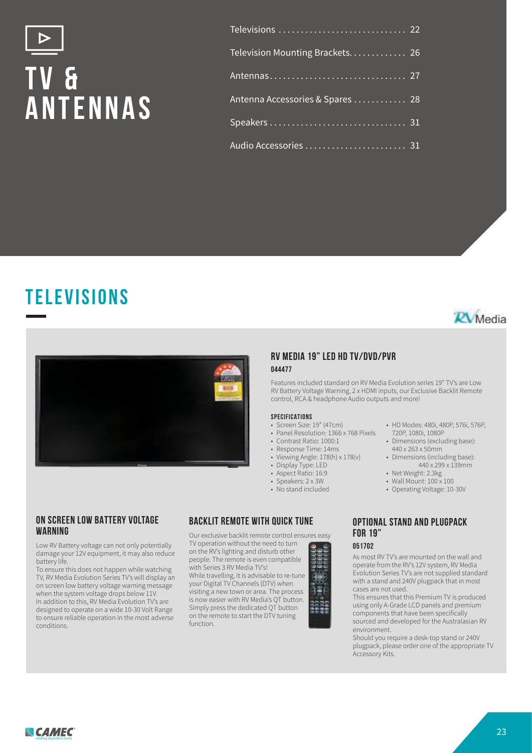# **t v & antennas**

| Television Mounting Brackets 26 |  |
|---------------------------------|--|
|                                 |  |
| Antenna Accessories & Spares 28 |  |
|                                 |  |
|                                 |  |







## **RV MEDIA 19" LED HD TV/DVD/PVR 044477**

Features included standard on RV Media Evolution series 19" TV's are Low RV Battery Voltage Warning, 2 x HDMI inputs, our Exclusive Backlit Remote control, RCA & headphone Audio outputs and more!

#### **SPECIFICATIONS**

- Screen Size: 19" (47cm)
- Panel Resolution: 1366 x 768 Pixels
- Contrast Ratio: 1000:1
- Response Time: 14ms
- Viewing Angle: 178(h) x 178(v)
- Display Type: LED
- Aspect Ratio: 16:9
- Speakers: 2 x 3W
- No stand included
- HD Modes: 480i, 480P, 576i, 576P, 720P, 1080i, 1080P
- Dimensions (excluding base): 440 x 263 x 50mm
- Dimensions (including base): 440 x 299 x 139mm
- Net Weight: 2.3kg
- Wall Mount: 100 x 100
- Operating Voltage: 10-30V

## **ON SCREEN LOW BATTERY VOLTAGE WARNING**

Low RV Battery voltage can not only potentially damage your 12V equipment, it may also reduce battery life.

To ensure this does not happen while watching TV, RV Media Evolution Series TV's will display an on screen low battery voltage warning message when the system voltage drops below 11V. In addition to this, RV Media Evolution TV's are designed to operate on a wide 10-30 Volt Range to ensure reliable operation in the most adverse conditions.

## **BACKLIT REMOTE WITH QUICK TUNE**

Our exclusive backlit remote control ensures easy TV operation without the need to turn

on the RV's lighting and disturb other people. The remote is even compatible with Series 3 RV Media TV's! While travelling, it is advisable to re-tune your Digital TV Channels (DTV) when visiting a new town or area. The process is now easier with RV Media's QT button. Simply press the dedicated QT button on the remote to start the DTV tuning function.



### **OPTIONAL STAND AND PLUGPACK FOR 19" 051702**

As most RV TV's are mounted on the wall and operate from the RV's 12V system, RV Media Evolution Series TV's are not supplied standard with a stand and 240V plugpack that in most cases are not used.

This ensures that this Premium TV is produced using only A-Grade LCD panels and premium components that have been specifically sourced and developed for the Australasian RV environment.

Should you require a desk-top stand or 240V plugpack, please order one of the appropriate TV Accessory Kits.

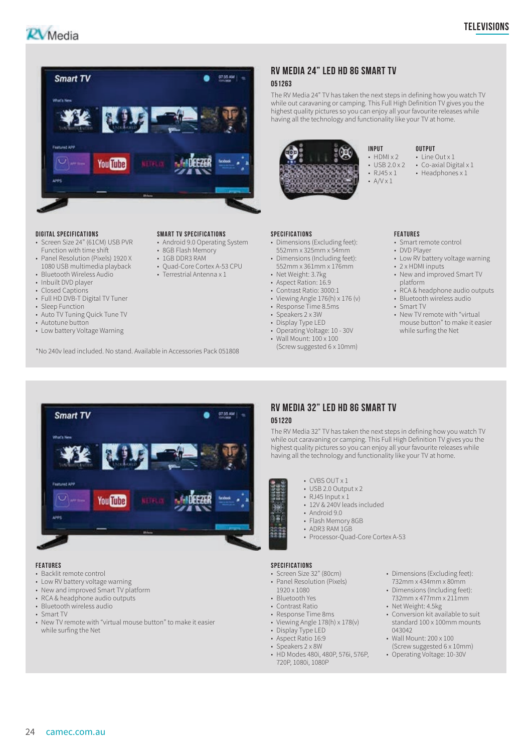



#### **DIGITAL SPECIFICATIONS**

- Screen Size 24" (61CM) USB PVR Function with time shift
- Panel Resolution (Pixels) 1920 X
- 1080 USB multimedia playback
- Bluetooth Wireless Audio
- Inbuilt DVD player
- Closed Captions
- Full HD DVB-T Digital TV Tuner
- Sleep Function • Auto TV Tuning Quick Tune TV
- Autotune button
- Low battery Voltage Warning

\*No 240v lead included. No stand. Available in Accessories Pack 051808

#### **SMART TV SPECIFICATIONS**

- Android 9.0 Operating System
- 
- 1GB DDR3 RAM
- Quad-Core Cortex A-53 CPU
- 
- Aspect Ration: 16.9

**051263**

• Contrast Ratio: 3000:1

• Net Weight: 3.7kg

• Viewing Angle 176(h) x 176 (v)

• Dimensions (Including feet): 552mm x 361mm x 176mm

**RV MEDIA 24" LED HD 8G SMART TV**

The RV Media 24" TV has taken the next steps in defining how you watch TV while out caravaning or camping. This Full High Definition TV gives you the highest quality pictures so you can enjoy all your favourite releases while having all the technology and functionality like your TV at home.

> **INPUT**  $\cdot$  HDMI  $\times$  2  $\cdot$  USB 20 x 2 •  $RJ45 \times 1$  $\cdot$  A/V  $\times$  1

- Response Time 8.5ms
- Speakers 2 x 3W
- Display Type LED
- Operating Voltage: 10 30V • Wall Mount: 100 x 100
- (Screw suggested 6 x 10mm)

#### **FEATURES**

• Smart remote control

**OUTPUT**  $\cdot$  Line Out x 1 • Co-axial Digital x 1 • Headphones x 1

- DVD Player
- Low RV battery voltage warning • 2 x HDMI inputs
- New and improved Smart TV platform
- RCA & headphone audio outputs • Bluetooth wireless audio
- Smart TV
- New TV remote with "virtual mouse button" to make it easier while surfing the Net



• New TV remote with "virtual mouse button" to make it easier

## **RV MEDIA 32" LED HD 8G SMART TV 051220**

The RV Media 32" TV has taken the next steps in defining how you watch TV while out caravaning or camping. This Full High Definition TV gives you the highest quality pictures so you can enjoy all your favourite releases while having all the technology and functionality like your TV at home.

- CVBS OUT x 1
- USB 2.0 Output x 2
- $\cdot$  RJ45 Input x 1
- 12V & 240V leads included
- Android 9.0
- Flash Memory 8GB • ADR3 RAM 1GB
- Processor-Quad-Core Cortex A-53

#### **SPECIFICATIONS**

10 ìΞ

- Screen Size 32" (80cm) • Panel Resolution (Pixels)
- 1920 x 1080
- Bluetooth Yes • Contrast Ratio
- Response Time 8ms
- Viewing Angle  $178(h) \times 178(v)$
- Display Type LED
- Aspect Ratio 16:9
- Speakers 2 x 8W
- HD Modes 480i, 480P, 576i, 576P, 720P, 1080i, 1080P
- Dimensions (Excluding feet): 732mm x 434mm x 80mm
- Dimensions (Including feet): 732mm x 477mm x 211mm
- Net Weight: 4.5kg
- Conversion kit available to suit standard 100 x 100mm mounts 043042
- Wall Mount: 200 x 100 (Screw suggested 6 x 10mm)
- Operating Voltage: 10-30V

• Backlit remote control • Low RV battery voltage warning • New and improved Smart TV platform • RCA & headphone audio outputs • Bluetooth wireless audio

while surfing the Net

• Smart TV

- **SPECIFICATIONS** • Dimensions (Excluding feet): 552mm x 325mm x 54mm
- 
- 
- 8GB Flash Memory
- 
- 
- Terrestrial Antenna x 1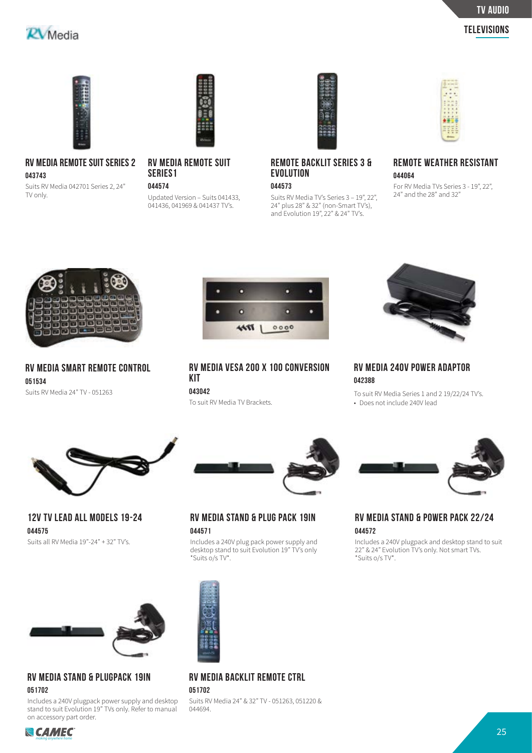## **TV audio**

## $R$ *Media*

**Televisions**



## **RV MEDIA REMOTE SUIT SERIES 2 043743**

Suits RV Media 042701 Series 2, 24" TV only.



## **RV MEDIA REMOTE SUIT SERIES1**

**044574**

Updated Version – Suits 041433, 041436, 041969 & 041437 TV's.



## **REMOTE BACKLIT SERIES 3 & EVOLUTION**

**044573**

Suits RV Media TV's Series 3 – 19", 22", 24" plus 28" & 32" (non-Smart TV's), and Evolution 19", 22" & 24" TV's.



## **REMOTE WEATHER RESISTANT 044064**

For RV Media TVs Series 3 - 19", 22", 24" and the 28" and 32"



**RV MEDIA SMART REMOTE CONTROL 051534** Suits RV Media 24" TV - 051263



**RV MEDIA VESA 200 X 100 CONVERSION KIT 043042**

To suit RV Media TV Brackets.



**RV MEDIA 240V POWER ADAPTOR 042388**

To suit RV Media Series 1 and 2 19/22/24 TV's. • Does not include 240V lead



**12V TV LEAD ALL MODELS 19-24 044575**

Suits all RV Media 19"-24" + 32" TV's.



## **RV MEDIA STAND & PLUGPACK 19IN 051702**

Includes a 240V plugpack power supply and desktop stand to suit Evolution 19" TVs only. Refer to manual on accessory part order.



**RV MEDIA STAND & PLUG PACK 19IN 044571**

Includes a 240V plug pack power supply and desktop stand to suit Evolution 19" TV's only \*Suits o/s TV\*.



## **RV MEDIA STAND & POWER PACK 22/24 044572**

Includes a 240V plugpack and desktop stand to suit 22" & 24" Evolution TV's only. Not smart TVs. \*Suits o/s TV\*.



## **RV MEDIA BACKLIT REMOTE CTRL**

**051702**

Suits RV Media 24" & 32" TV - 051263, 051220 & 044694.

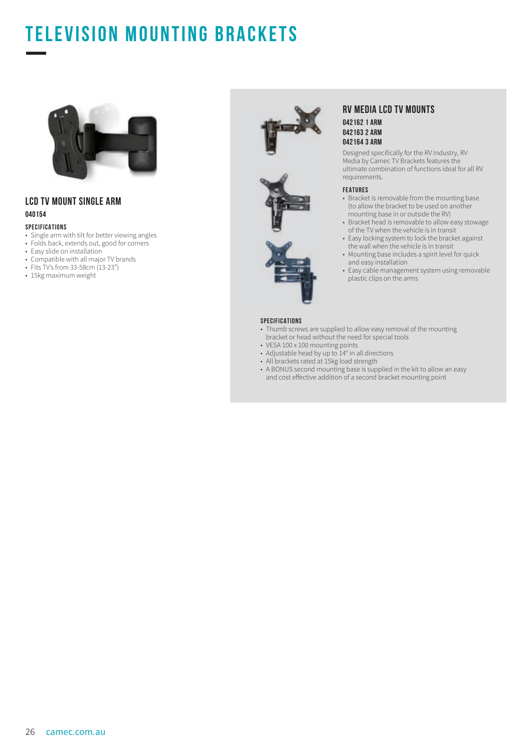## **TELEVISION MOUNTING BRACKETS**



## **LCD TV MOUNT SINGLE ARM 040154**

#### **SPECIFICATIONS**

- Single arm with tilt for better viewing angles
- Folds back, extends out, good for corners
- Easy slide on installation
- Compatible with all major TV brands
- Fits TV's from 33-58cm (13-23")
- 15kg maximum weight







### **RV MEDIA LCD TV MOUNTS 042162 1 ARM 042163 2 ARM 042164 3 ARM**

Designed specifically for the RV Industry, RV Media by Camec TV Brackets features the ultimate combination of functions ideal for all RV requirements.

#### **FEATURES**

- Bracket is removable from the mounting base (to allow the bracket to be used on another mounting base in or outside the RV)
- Bracket head is removable to allow easy stowage of the TV when the vehicle is in transit
- Easy locking system to lock the bracket against the wall when the vehicle is in transit
- Mounting base includes a spirit level for quick and easy installation
- Easy cable management system using removable plastic clips on the arms

#### **SPECIFICATIONS**

- Thumb screws are supplied to allow easy removal of the mounting bracket or head without the need for special tools
- VESA 100 x 100 mounting points
- Adjustable head by up to 14° in all directions
- All brackets rated at 15kg load strength
- A BONUS second mounting base is supplied in the kit to allow an easy and cost effective addition of a second bracket mounting point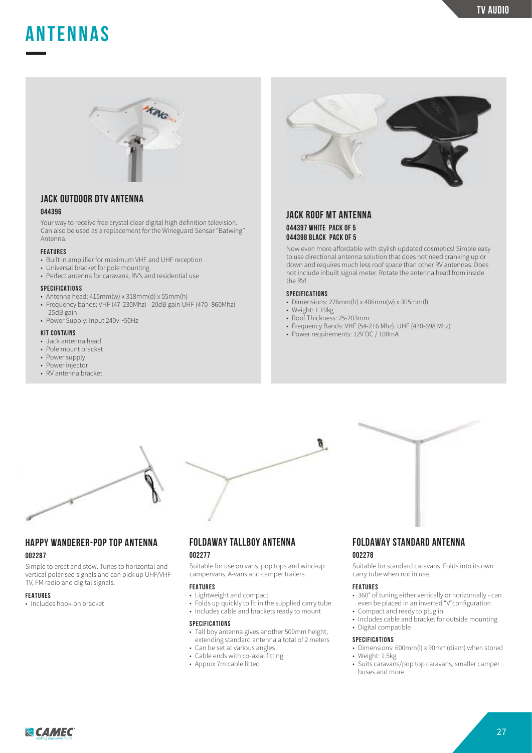## **ANTENNAs**



## **JACK OUTDOOR DTV ANTENNA**

## **044396**

Your way to receive free crystal clear digital high definition television. Can also be used as a replacement for the Wineguard Sensar "Batwing" Antenna.

#### **FEATURES**

- Built in amplifier for maximum VHF and UHF reception
- Universal bracket for pole mounting
- Perfect antenna for caravans, RV's and residential use

#### **SPECIFICATIONS**

- Antenna head: 415mm(w) x 318mm(d) x 55mm(h)
- Frequency bands: VHF  $(47-230M)$  20dB gain UHF (470-860Mhz)
- -25dB gain • Power Supply: Input 240v ~50Hz

#### **KIT CONTAINS**

- Jack antenna head
- Pole mount bracket
- Power supply
- Power injector
- RV antenna bracket



## **JACK ROOF MT ANTENNA**

**044397 WHITE PACK OF 5 044398 BLACK PACK OF 5**

Now even more affordable with stylish updated cosmetics! Simple easy to use directional antenna solution that does not need cranking up or down and requires much less roof space than other RV antennas. Does not include inbuilt signal meter. Rotate the antenna head from inside the RV!

#### **SPECIFICATIONS**

- Dimensions: 226mm(h) x 406mm(w) x 305mm(l)
- Weight: 1.19kg

g.

- Roof Thickness: 25-203mm
- Frequency Bands: VHF (54-216 Mhz), UHF (470-698 Mhz)
- Power requirements: 12V DC / 100mA



## **HAPPY WANDERER-POP TOP ANTENNA**

## **002287**

Simple to erect and stow. Tunes to horizontal and vertical polarised signals and can pick up UHF/VHF TV, FM radio and digital signals.

#### **FEATURES**

• Includes hook-on bracket

## **FOLDAWAY TALLBOY ANTENNA**

## **002277**

Suitable for use on vans, pop tops and wind-up campervans, A-vans and camper trailers.

#### **FEATURES**

- Lightweight and compact
- Folds up quickly to fit in the supplied carry tube
- Includes cable and brackets ready to mount

#### **SPECIFICATIONS**

- Tall boy antenna gives another 500mm height, extending standard antenna a total of 2 meters
- Can be set at various angles
- Cable ends with co-axial fitting
- Approx 7m cable fitted

## **FOLDAWAY STANDARD ANTENNA**

## **002278**

Suitable for standard caravans. Folds into its own carry tube when not in use.

#### **FEATURES**

- 360° of tuning either vertically or horizontally can even be placed in an inverted "V"configuration
- Compact and ready to plug in
- Includes cable and bracket for outside mounting
- Digital compatible

#### **SPECIFICATIONS**

- Dimensions: 600mm(l) x 90mm(diam) when stored • Weight: 1.5kg
- Suits caravans/pop top caravans, smaller camper buses and more.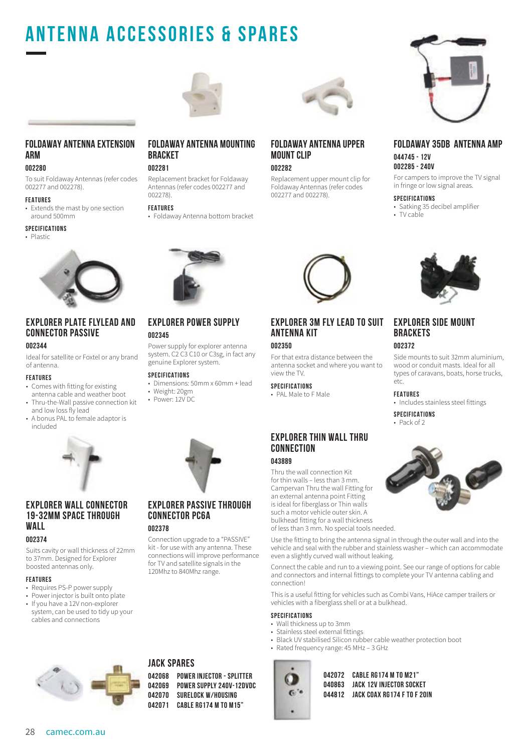## **Antenna Accessories & Spares**



## **FOLDAWAY ANTENNA EXTENSION ARM**

### **002280**

To suit Foldaway Antennas (refer codes 002277 and 002278).

#### **FEATURES**

• Extends the mast by one section around 500mm

#### **SPECIFICATIONS**

• Plastic



## **EXPLORER PLATE FLYLEAD AND CONNECTOR PASSIVE**

#### **002344**

Ideal for satellite or Foxtel or any brand of antenna.

#### **FEATURES**

- Comes with fitting for existing antenna cable and weather boot
- Thru-the-Wall passive connection kit and low loss fly lead
- A bonus PAL to female adaptor is included



## **EXPLORER WALL CONNECTOR 19-32MM SPACE THROUGH WALL**

#### **002374**

Suits cavity or wall thickness of 22mm to 37mm. Designed for Explorer boosted antennas only.

#### **FEATURES**

- Requires PS-P power supply
- Power injector is built onto plate
- If you have a 12V non-explorer system, can be used to tidy up your cables and connections



## **002281**

Replacement bracket for Foldaway Antennas (refer codes 002277 and 002278).

#### **FEATURES**

**002345**

• Foldaway Antenna bottom bracket

**EXPLORER POWER SUPPLY**

Power supply for explorer antenna system. C2 C3 C10 or C3sg, in fact any

• Dimensions: 50mm x 60mm + lead

genuine Explorer system.

**SPECIFICATIONS**

• Weight: 20gm • Power: 12V DC

## **FOLDAWAY ANTENNA UPPER MOUNT CLIP**

**002282**

Replacement upper mount clip for Foldaway Antennas (refer codes 002277 and 002278).



### **FOLDAWAY 35DB ANTENNA AMP 044745 - 12V 002285 - 240V**

For campers to improve the TV signal in fringe or low signal areas.

#### **SPECIFICATIONS**

- Satking 35 decibel amplifier
- TV cable



## **EXPLORER SIDE MOUNT BRACKETS**

#### **002372**

Side mounts to suit 32mm aluminium, wood or conduit masts. Ideal for all types of caravans, boats, horse trucks, etc.

#### **FEATURES**

• Includes stainless steel fittings

**SPECIFICATIONS**

#### • Pack of 2



## **EXPLORER PASSIVE THROUGH CONNECTOR PC6A**

kit - for use with any antenna. These connections will improve performance for TV and satellite signals in the

**002378**

Connection upgrade to a "PASSIVE" 120Mhz to 840Mhz range.



## **EXPLORER THIN WALL THRU CONNECTION**

**EXPLORER 3M FLY LEAD TO SUIT**

For that extra distance between the antenna socket and where you want to

## **043889**

**ANTENNA KIT**

**002350**

view the TV. **SPECIFICATIONS** • PAL Male to F Male

Thru the wall connection Kit for thin walls – less than 3 mm. Campervan Thru the wall Fitting for an external antenna point Fitting is ideal for fiberglass or Thin walls such a motor vehicle outer skin. A bulkhead fitting for a wall thickness of less than 3 mm. No special tools needed.

Use the fitting to bring the antenna signal in through the outer wall and into the vehicle and seal with the rubber and stainless washer – which can accommodate even a slightly curved wall without leaking.

Connect the cable and run to a viewing point. See our range of options for cable and connectors and internal fittings to complete your TV antenna cabling and connection!

This is a useful fitting for vehicles such as Combi Vans, HiAce camper trailers or vehicles with a fiberglass shell or at a bulkhead.

#### **SPECIFICATIONS**

- Wall thickness up to 3mm
- Stainless steel external fittings
- Black UV stabilised Silicon rubber cable weather protection boot
- Rated frequency range: 45 MHz 3 GHz



**042072 CABLE RG174 M TO M21" 040863 JACK 12V INJECTOR SOCKET 044812 JACK COAX RG174 F TO F 20IN**



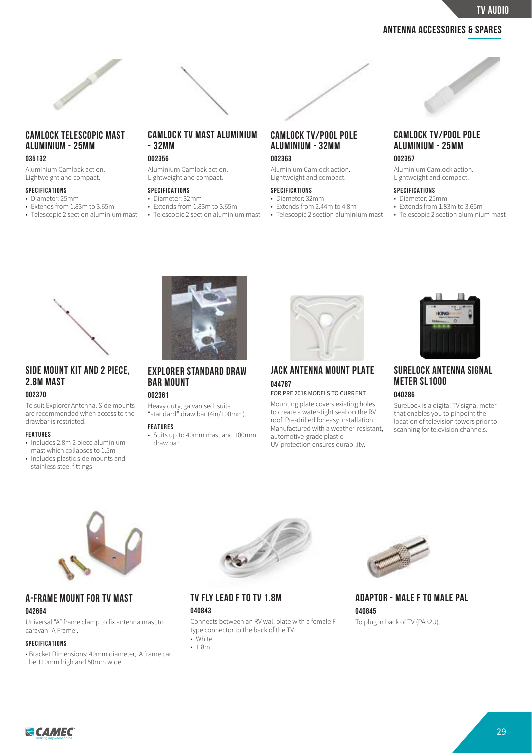**TV audio**

## **Antenna Accessories & Spares**



## **CAMLOCK TELESCOPIC MAST ALUMINIUM - 25MM**

### **035132**

Aluminium Camlock action. Lightweight and compact.

#### **SPECIFICATIONS**

- Diameter: 25mm
- Extends from 1.83m to 3.65m
- Telescopic 2 section aluminium mast

## **CAMLOCK TV MAST ALUMINIUM - 32MM**

## **002356**

Aluminium Camlock action. Lightweight and compact.

## **SPECIFICATIONS**

#### • Diameter: 32mm

- Extends from 1.83m to 3.65m
- Telescopic 2 section aluminium mast

## **CAMLOCK TV/POOL POLE ALUMINIUM - 32MM 002363**

Aluminium Camlock action. Lightweight and compact.

#### **SPECIFICATIONS**

- Diameter: 32mm
- Extends from 2.44m to 4.8m
- Telescopic 2 section aluminium mast

## **CAMLOCK TV/POOL POLE ALUMINIUM - 25MM**

#### **002357**

Aluminium Camlock action. Lightweight and compact.

#### **SPECIFICATIONS**

- Diameter: 25mm
- Extends from 1.83m to 3.65m
- Telescopic 2 section aluminium mast



## **SIDE MOUNT KIT AND 2 PIECE, 2.8M MAST**

#### **002370**

To suit Explorer Antenna. Side mounts are recommended when access to the drawbar is restricted.

#### **FEATURES**

- Includes 2.8m 2 piece aluminium mast which collapses to 1.5m
- Includes plastic side mounts and stainless steel fittings



**EXPLORER STANDARD DRAW BAR MOUNT**

## **002361**

Heavy duty, galvanised, suits "standard" draw bar (4in/100mm).

#### **FEATURES**

• Suits up to 40mm mast and 100mm draw bar



## **JACK ANTENNA MOUNT PLATE 044787**

#### FOR PRE 2018 MODELS TO CURRENT

Mounting plate covers existing holes to create a water-tight seal on the RV roof. Pre-drilled for easy installation. Manufactured with a weather-resistant, automotive-grade plastic UV-protection ensures durability.



## **SURELOCK ANTENNA SIGNAL METER SL1000 040286**

SureLock is a digital TV signal meter that enables you to pinpoint the location of television towers prior to scanning for television channels.



## **A-FRAME MOUNT FOR TV MAST**

#### **042664**

Universal "A" frame clamp to fix antenna mast to caravan "A Frame".

#### **SPECIFICATIONS**

• Bracket Dimensions: 40mm diameter, A frame can be 110mm high and 50mm wide



## **TV FLY LEAD F TO TV 1.8M**

#### **040843**

Connects between an RV wall plate with a female F type connector to the back of the TV. • White

• 1.8m



**ADAPTOR - MALE F TO MALE PAL 040845** To plug in back of TV (PA32U).

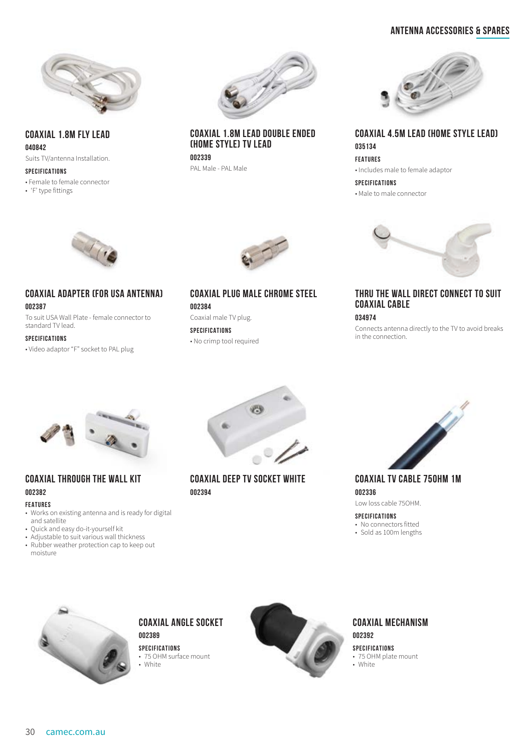## **Antenna Accessories & Spares**



**COAXIAL 1.8M FLY LEAD 040842**

Suits TV/antenna Installation.

#### **SPECIFICATIONS**

• Female to female connector

• 'F' type fittings



## **COAXIAL 1.8M LEAD DOUBLE ENDED (HOME STYLE) TV LEAD**

**002339** PAL Male - PAL Male



**COAXIAL 4.5M LEAD (HOME STYLE LEAD) 035134 FEATURES** • Includes male to female adaptor

**SPECIFICATIONS**

• Male to male connector



## **COAXIAL ADAPTER (FOR USA ANTENNA)**

**002387**

To suit USA Wall Plate - female connector to standard TV lead.

#### **SPECIFICATIONS**

• Video adaptor "F" socket to PAL plug



## **COAXIAL PLUG MALE CHROME STEEL 002384**

Coaxial male TV plug. **SPECIFICATIONS** • No crimp tool required



## **THRU THE WALL DIRECT CONNECT TO SUIT COAXIAL CABLE**

**034974**

Connects antenna directly to the TV to avoid breaks in the connection.



## **COAXIAL THROUGH THE WALL KIT 002382**

#### **FEATURES**

- Works on existing antenna and is ready for digital and satellite
- Quick and easy do-it-yourself kit
- Adjustable to suit various wall thickness • Rubber weather protection cap to keep out
- moisture



**COAXIAL DEEP TV SOCKET WHITE 002394**



**COAXIAL TV CABLE 75OHM 1M 002336** Low loss cable 75OHM.

**SPECIFICATIONS**

- No connectors fitted • Sold as 100m lengths
- 



## **COAXIAL ANGLE SOCKET 002389**

**SPECIFICATIONS** • 75 OHM surface mount • White



## **COAXIAL MECHANISM 002392**

**SPECIFICATIONS** • 75 OHM plate mount • White